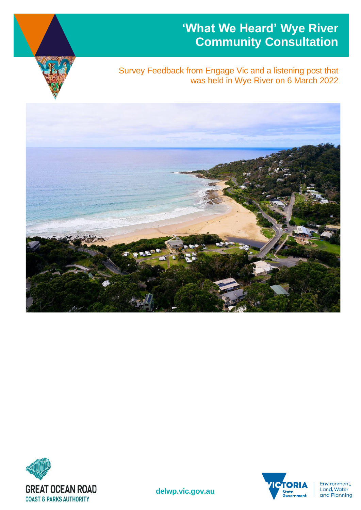## **'What We Heard' Wye River Community Consultation**



### Survey Feedback from Engage Vic and a listening post that was held in Wye River on 6 March 2022







Environment,<br>Land, Water and Planning

**delwp.vic.gov.au**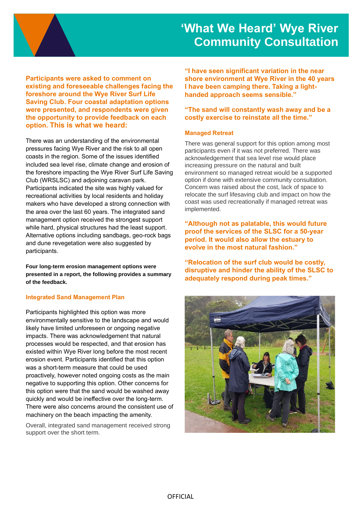

**Participants were asked to comment on existing and foreseeable challenges facing the foreshore around the Wye River Surf Life Saving Club. Four coastal adaptation options were presented, and respondents were given the opportunity to provide feedback on each option. This is what we heard:**

There was an understanding of the environmental pressures facing Wye River and the risk to all open coasts in the region. Some of the issues identified included sea level rise, climate change and erosion of the foreshore impacting the Wye River Surf Life Saving Club (WRSLSC) and adjoining caravan park. Participants indicated the site was highly valued for recreational activities by local residents and holiday makers who have developed a strong connection with the area over the last 60 years. The integrated sand management option received the strongest support while hard, physical structures had the least support. Alternative options including sandbags, geo-rock bags and dune revegetation were also suggested by participants.

**Four long-term erosion management options were presented in a report, the following provides a summary of the feedback.**

#### **Integrated Sand Management Plan**

Participants highlighted this option was more environmentally sensitive to the landscape and would likely have limited unforeseen or ongoing negative impacts. There was acknowledgement that natural processes would be respected, and that erosion has existed within Wye River long before the most recent erosion event. Participants identified that this option was a short-term measure that could be used proactively, however noted ongoing costs as the main negative to supporting this option. Other concerns for this option were that the sand would be washed away quickly and would be ineffective over the long-term. There were also concerns around the consistent use of machinery on the beach impacting the amenity.

Overall, integrated sand management received strong support over the short term.

**"I have seen significant variation in the near shore environment at Wye River in the 40 years I have been camping there. Taking a lighthanded approach seems sensible."**

#### **"The sand will constantly wash away and be a costly exercise to reinstate all the time."**

#### **Managed Retreat**

There was general support for this option among most participants even if it was not preferred. There was acknowledgement that sea level rise would place increasing pressure on the natural and built environment so managed retreat would be a supported option if done with extensive community consultation. Concern was raised about the cost, lack of space to relocate the surf lifesaving club and impact on how the coast was used recreationally if managed retreat was implemented.

**"Although not as palatable, this would future proof the services of the SLSC for a 50-year period. It would also allow the estuary to evolve in the most natural fashion."**

**"Relocation of the surf club would be costly, disruptive and hinder the ability of the SLSC to adequately respond during peak times."**

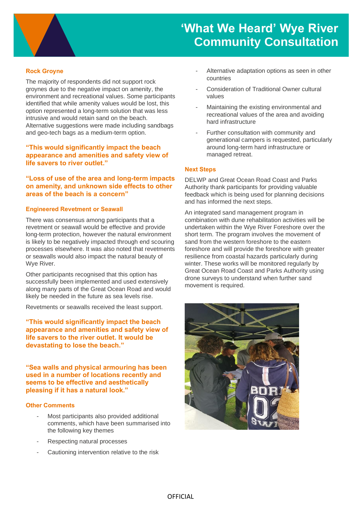

# **'What We Heard' Wye River Community Consultation**

### **Rock Groyne**

The majority of respondents did not support rock groynes due to the negative impact on amenity, the environment and recreational values. Some participants identified that while amenity values would be lost, this option represented a long-term solution that was less intrusive and would retain sand on the beach. Alternative suggestions were made including sandbags and geo-tech bags as a medium-term option.

**"This would significantly impact the beach appearance and amenities and safety view of life savers to river outlet."**

**"Loss of use of the area and long-term impacts on amenity, and unknown side effects to other areas of the beach is a concern"**

#### **Engineered Revetment or Seawall**

There was consensus among participants that a revetment or seawall would be effective and provide long-term protection, however the natural environment is likely to be negatively impacted through end scouring processes elsewhere. It was also noted that revetments or seawalls would also impact the natural beauty of Wye River.

Other participants recognised that this option has successfully been implemented and used extensively along many parts of the Great Ocean Road and would likely be needed in the future as sea levels rise.

Revetments or seawalls received the least support.

**"This would significantly impact the beach appearance and amenities and safety view of life savers to the river outlet. It would be devastating to lose the beach."**

**"Sea walls and physical armouring has been used in a number of locations recently and seems to be effective and aesthetically pleasing if it has a natural look."**

#### **Other Comments**

- Most participants also provided additional comments, which have been summarised into the following key themes
- Respecting natural processes
- Cautioning intervention relative to the risk
- Alternative adaptation options as seen in other countries
- Consideration of Traditional Owner cultural values
- Maintaining the existing environmental and recreational values of the area and avoiding hard infrastructure
- Further consultation with community and generational campers is requested, particularly around long-term hard infrastructure or managed retreat.

#### **Next Steps**

DELWP and Great Ocean Road Coast and Parks Authority thank participants for providing valuable feedback which is being used for planning decisions and has informed the next steps.

An integrated sand management program in combination with dune rehabilitation activities will be undertaken within the Wye River Foreshore over the short term. The program involves the movement of sand from the western foreshore to the eastern foreshore and will provide the foreshore with greater resilience from coastal hazards particularly during winter. These works will be monitored regularly by Great Ocean Road Coast and Parks Authority using drone surveys to understand when further sand movement is required.